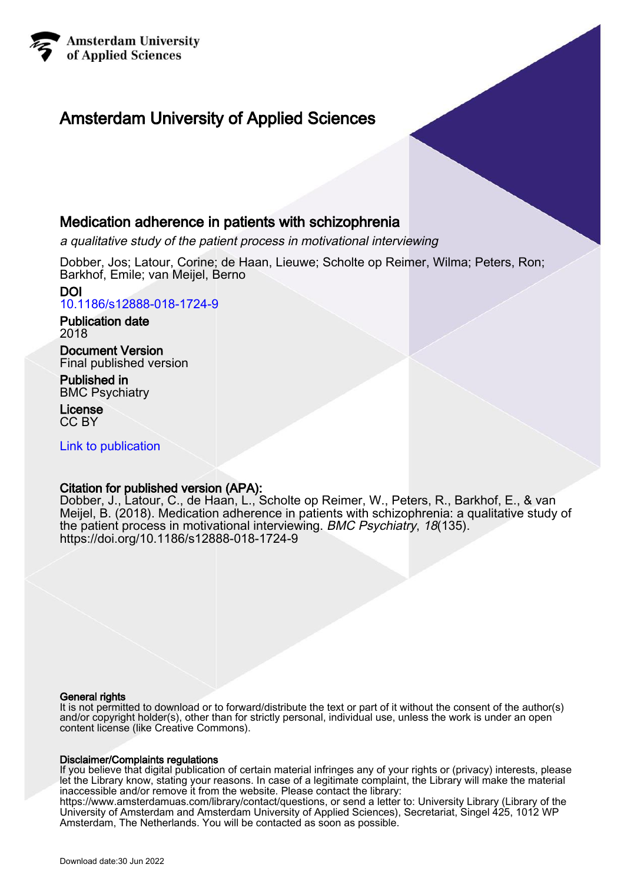

## Amsterdam University of Applied Sciences

## Medication adherence in patients with schizophrenia

a qualitative study of the patient process in motivational interviewing

Dobber, Jos; Latour, Corine; de Haan, Lieuwe; Scholte op Reimer, Wilma; Peters, Ron; Barkhof, Emile; van Meijel, Berno

DOI [10.1186/s12888-018-1724-9](https://doi.org/10.1186/s12888-018-1724-9)

Publication date 2018

Document Version Final published version

Published in BMC Psychiatry

License CC BY

[Link to publication](https://research.hva.nl/en/publications/e0e92375-7181-405c-8e81-e08020291937)

## Citation for published version (APA):

Dobber, J., Latour, C., de Haan, L., Scholte op Reimer, W., Peters, R., Barkhof, E., & van Meijel, B. (2018). Medication adherence in patients with schizophrenia: a qualitative study of the patient process in motivational interviewing. BMC Psychiatry, 18(135). <https://doi.org/10.1186/s12888-018-1724-9>

#### General rights

It is not permitted to download or to forward/distribute the text or part of it without the consent of the author(s) and/or copyright holder(s), other than for strictly personal, individual use, unless the work is under an open content license (like Creative Commons).

### Disclaimer/Complaints regulations

If you believe that digital publication of certain material infringes any of your rights or (privacy) interests, please let the Library know, stating your reasons. In case of a legitimate complaint, the Library will make the material inaccessible and/or remove it from the website. Please contact the library:

https://www.amsterdamuas.com/library/contact/questions, or send a letter to: University Library (Library of the University of Amsterdam and Amsterdam University of Applied Sciences), Secretariat, Singel 425, 1012 WP Amsterdam, The Netherlands. You will be contacted as soon as possible.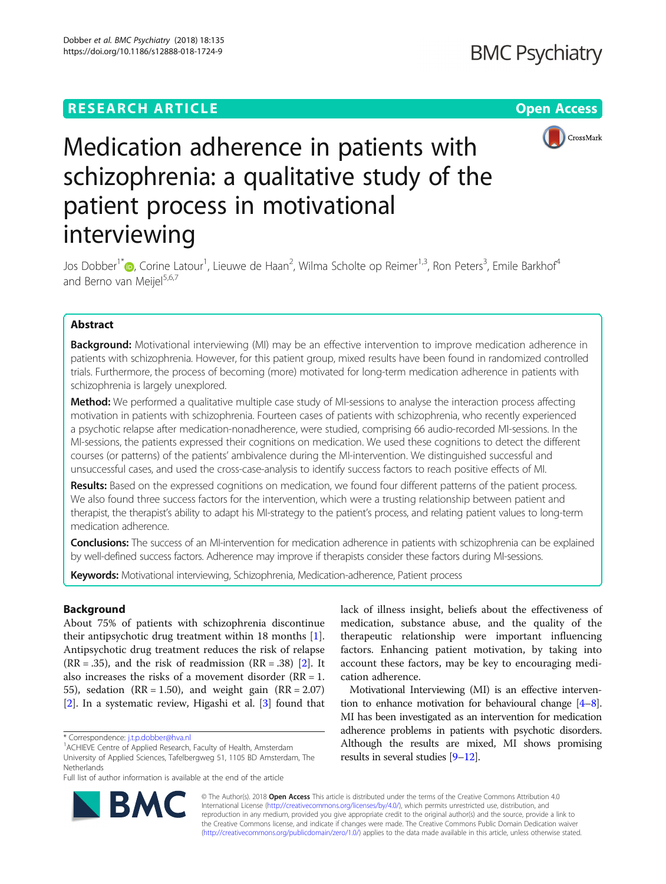## **RESEARCH ARTICLE Example 2014 12:30 The Open Access**



# Medication adherence in patients with schizophrenia: a qualitative study of the patient process in motivational interviewing

Jos Dobber<sup>1[\\*](http://orcid.org/0000-0003-1689-5884)</sup>©, Corine Latour<sup>1</sup>, Lieuwe de Haan<sup>2</sup>, Wilma Scholte op Reimer<sup>1,3</sup>, Ron Peters<sup>3</sup>, Emile Barkhof<sup>4</sup> and Berno van Meijel $5,6,7$ 

### Abstract

**Background:** Motivational interviewing (MI) may be an effective intervention to improve medication adherence in patients with schizophrenia. However, for this patient group, mixed results have been found in randomized controlled trials. Furthermore, the process of becoming (more) motivated for long-term medication adherence in patients with schizophrenia is largely unexplored.

Method: We performed a qualitative multiple case study of MI-sessions to analyse the interaction process affecting motivation in patients with schizophrenia. Fourteen cases of patients with schizophrenia, who recently experienced a psychotic relapse after medication-nonadherence, were studied, comprising 66 audio-recorded MI-sessions. In the MI-sessions, the patients expressed their cognitions on medication. We used these cognitions to detect the different courses (or patterns) of the patients' ambivalence during the MI-intervention. We distinguished successful and unsuccessful cases, and used the cross-case-analysis to identify success factors to reach positive effects of MI.

Results: Based on the expressed cognitions on medication, we found four different patterns of the patient process. We also found three success factors for the intervention, which were a trusting relationship between patient and therapist, the therapist's ability to adapt his MI-strategy to the patient's process, and relating patient values to long-term medication adherence.

Conclusions: The success of an MI-intervention for medication adherence in patients with schizophrenia can be explained by well-defined success factors. Adherence may improve if therapists consider these factors during MI-sessions.

Keywords: Motivational interviewing, Schizophrenia, Medication-adherence, Patient process

#### Background

About 75% of patients with schizophrenia discontinue their antipsychotic drug treatment within 18 months [\[1](#page-10-0)]. Antipsychotic drug treatment reduces the risk of relapse  $(RR = .35)$ , and the risk of readmission  $(RR = .38)$  [[2\]](#page-10-0). It also increases the risks of a movement disorder ( $RR = 1$ . 55), sedation ( $RR = 1.50$ ), and weight gain ( $RR = 2.07$ ) [[2\]](#page-10-0). In a systematic review, Higashi et al. [[3\]](#page-10-0) found that



Motivational Interviewing (MI) is an effective intervention to enhance motivation for behavioural change  $[4-8]$  $[4-8]$  $[4-8]$  $[4-8]$ . MI has been investigated as an intervention for medication adherence problems in patients with psychotic disorders. Although the results are mixed, MI shows promising results in several studies [[9](#page-10-0)–[12\]](#page-10-0).



© The Author(s). 2018 Open Access This article is distributed under the terms of the Creative Commons Attribution 4.0 International License [\(http://creativecommons.org/licenses/by/4.0/](http://creativecommons.org/licenses/by/4.0/)), which permits unrestricted use, distribution, and reproduction in any medium, provided you give appropriate credit to the original author(s) and the source, provide a link to the Creative Commons license, and indicate if changes were made. The Creative Commons Public Domain Dedication waiver [\(http://creativecommons.org/publicdomain/zero/1.0/](http://creativecommons.org/publicdomain/zero/1.0/)) applies to the data made available in this article, unless otherwise stated.

<sup>\*</sup> Correspondence: [j.t.p.dobber@hva.nl](mailto:j.t.p.dobber@hva.nl) <sup>1</sup>

<sup>&</sup>lt;sup>1</sup> ACHIEVE Centre of Applied Research, Faculty of Health, Amsterdam University of Applied Sciences, Tafelbergweg 51, 1105 BD Amsterdam, The Netherlands

Full list of author information is available at the end of the article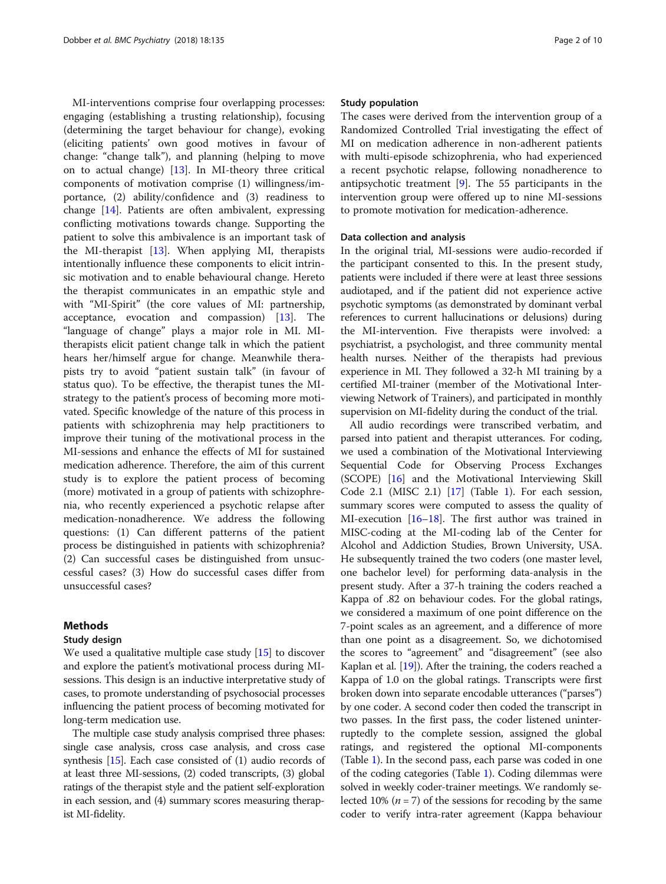MI-interventions comprise four overlapping processes: engaging (establishing a trusting relationship), focusing (determining the target behaviour for change), evoking (eliciting patients' own good motives in favour of change: "change talk"), and planning (helping to move on to actual change) [\[13](#page-10-0)]. In MI-theory three critical components of motivation comprise (1) willingness/importance, (2) ability/confidence and (3) readiness to change [[14\]](#page-10-0). Patients are often ambivalent, expressing conflicting motivations towards change. Supporting the patient to solve this ambivalence is an important task of the MI-therapist [[13\]](#page-10-0). When applying MI, therapists intentionally influence these components to elicit intrinsic motivation and to enable behavioural change. Hereto the therapist communicates in an empathic style and with "MI-Spirit" (the core values of MI: partnership, acceptance, evocation and compassion) [[13\]](#page-10-0). The "language of change" plays a major role in MI. MItherapists elicit patient change talk in which the patient hears her/himself argue for change. Meanwhile therapists try to avoid "patient sustain talk" (in favour of status quo). To be effective, the therapist tunes the MIstrategy to the patient's process of becoming more motivated. Specific knowledge of the nature of this process in patients with schizophrenia may help practitioners to improve their tuning of the motivational process in the MI-sessions and enhance the effects of MI for sustained medication adherence. Therefore, the aim of this current study is to explore the patient process of becoming (more) motivated in a group of patients with schizophrenia, who recently experienced a psychotic relapse after medication-nonadherence. We address the following questions: (1) Can different patterns of the patient process be distinguished in patients with schizophrenia? (2) Can successful cases be distinguished from unsuccessful cases? (3) How do successful cases differ from unsuccessful cases?

#### Methods

#### Study design

We used a qualitative multiple case study [[15](#page-10-0)] to discover and explore the patient's motivational process during MIsessions. This design is an inductive interpretative study of cases, to promote understanding of psychosocial processes influencing the patient process of becoming motivated for long-term medication use.

The multiple case study analysis comprised three phases: single case analysis, cross case analysis, and cross case synthesis [\[15\]](#page-10-0). Each case consisted of (1) audio records of at least three MI-sessions, (2) coded transcripts, (3) global ratings of the therapist style and the patient self-exploration in each session, and (4) summary scores measuring therapist MI-fidelity.

#### Study population

The cases were derived from the intervention group of a Randomized Controlled Trial investigating the effect of MI on medication adherence in non-adherent patients with multi-episode schizophrenia, who had experienced a recent psychotic relapse, following nonadherence to antipsychotic treatment [[9\]](#page-10-0). The 55 participants in the intervention group were offered up to nine MI-sessions to promote motivation for medication-adherence.

#### Data collection and analysis

In the original trial, MI-sessions were audio-recorded if the participant consented to this. In the present study, patients were included if there were at least three sessions audiotaped, and if the patient did not experience active psychotic symptoms (as demonstrated by dominant verbal references to current hallucinations or delusions) during the MI-intervention. Five therapists were involved: a psychiatrist, a psychologist, and three community mental health nurses. Neither of the therapists had previous experience in MI. They followed a 32-h MI training by a certified MI-trainer (member of the Motivational Interviewing Network of Trainers), and participated in monthly supervision on MI-fidelity during the conduct of the trial.

All audio recordings were transcribed verbatim, and parsed into patient and therapist utterances. For coding, we used a combination of the Motivational Interviewing Sequential Code for Observing Process Exchanges (SCOPE) [\[16\]](#page-10-0) and the Motivational Interviewing Skill Code 2.1 (MISC 2.1) [[17](#page-10-0)] (Table [1\)](#page-3-0). For each session, summary scores were computed to assess the quality of MI-execution [[16](#page-10-0)–[18\]](#page-10-0). The first author was trained in MISC-coding at the MI-coding lab of the Center for Alcohol and Addiction Studies, Brown University, USA. He subsequently trained the two coders (one master level, one bachelor level) for performing data-analysis in the present study. After a 37-h training the coders reached a Kappa of .82 on behaviour codes. For the global ratings, we considered a maximum of one point difference on the 7-point scales as an agreement, and a difference of more than one point as a disagreement. So, we dichotomised the scores to "agreement" and "disagreement" (see also Kaplan et al. [\[19\]](#page-10-0)). After the training, the coders reached a Kappa of 1.0 on the global ratings. Transcripts were first broken down into separate encodable utterances ("parses") by one coder. A second coder then coded the transcript in two passes. In the first pass, the coder listened uninterruptedly to the complete session, assigned the global ratings, and registered the optional MI-components (Table [1](#page-3-0)). In the second pass, each parse was coded in one of the coding categories (Table [1](#page-3-0)). Coding dilemmas were solved in weekly coder-trainer meetings. We randomly selected 10% ( $n = 7$ ) of the sessions for recoding by the same coder to verify intra-rater agreement (Kappa behaviour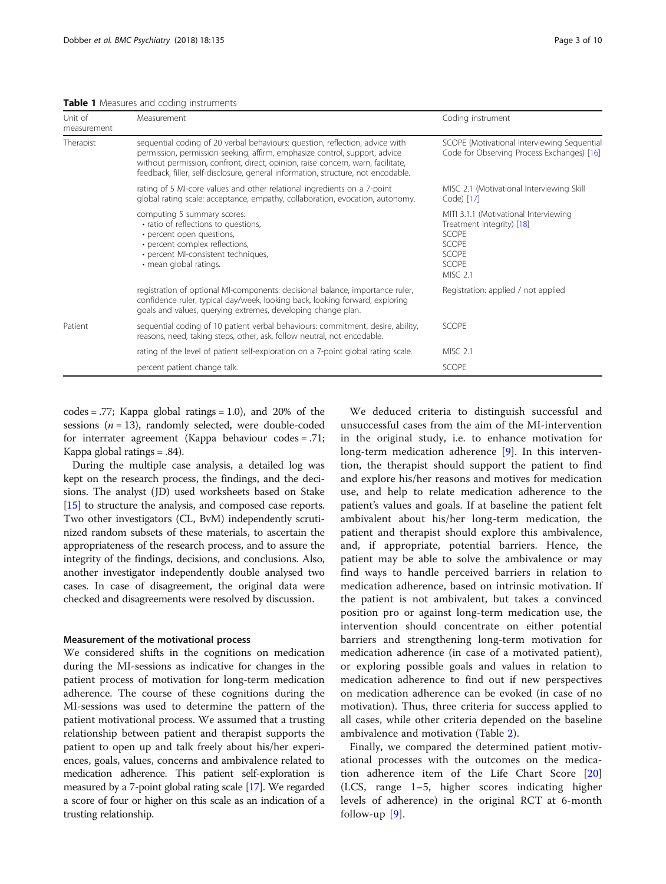<span id="page-3-0"></span>

|  |  |  |  | Table 1 Measures and coding instruments |
|--|--|--|--|-----------------------------------------|
|--|--|--|--|-----------------------------------------|

| Unit of<br>measurement | Measurement                                                                                                                                                                                                                                                                                                                        | Coding instrument                                                                                                                       |
|------------------------|------------------------------------------------------------------------------------------------------------------------------------------------------------------------------------------------------------------------------------------------------------------------------------------------------------------------------------|-----------------------------------------------------------------------------------------------------------------------------------------|
| Therapist              | sequential coding of 20 verbal behaviours: question, reflection, advice with<br>permission, permission seeking, affirm, emphasize control, support, advice<br>without permission, confront, direct, opinion, raise concern, warn, facilitate,<br>feedback, filler, self-disclosure, general information, structure, not encodable. | SCOPE (Motivational Interviewing Sequential<br>Code for Observing Process Exchanges) [16]                                               |
|                        | rating of 5 MI-core values and other relational ingredients on a 7-point<br>global rating scale: acceptance, empathy, collaboration, evocation, autonomy.                                                                                                                                                                          | MISC 2.1 (Motivational Interviewing Skill<br>Code) [17]                                                                                 |
|                        | computing 5 summary scores:<br>· ratio of reflections to questions,<br>• percent open questions,<br>• percent complex reflections,<br>· percent MI-consistent techniques,<br>· mean global ratings.                                                                                                                                | MITI 3.1.1 (Motivational Interviewing<br>Treatment Integrity) [18]<br><b>SCOPE</b><br>SCOPE<br><b>SCOPE</b><br>SCOPE<br><b>MISC 2.1</b> |
|                        | registration of optional MI-components: decisional balance, importance ruler,<br>confidence ruler, typical day/week, looking back, looking forward, exploring<br>goals and values, querying extremes, developing change plan.                                                                                                      | Registration: applied / not applied                                                                                                     |
| Patient                | sequential coding of 10 patient verbal behaviours: commitment, desire, ability,<br>reasons, need, taking steps, other, ask, follow neutral, not encodable.                                                                                                                                                                         | <b>SCOPE</b>                                                                                                                            |
|                        | rating of the level of patient self-exploration on a 7-point global rating scale.                                                                                                                                                                                                                                                  | <b>MISC 2.1</b>                                                                                                                         |
|                        | percent patient change talk.                                                                                                                                                                                                                                                                                                       | SCOPE                                                                                                                                   |

 $codes = .77$ ; Kappa global ratings = 1.0), and 20% of the sessions ( $n = 13$ ), randomly selected, were double-coded for interrater agreement (Kappa behaviour codes = .71; Kappa global ratings = .84).

During the multiple case analysis, a detailed log was kept on the research process, the findings, and the decisions. The analyst (JD) used worksheets based on Stake [[15](#page-10-0)] to structure the analysis, and composed case reports. Two other investigators (CL, BvM) independently scrutinized random subsets of these materials, to ascertain the appropriateness of the research process, and to assure the integrity of the findings, decisions, and conclusions. Also, another investigator independently double analysed two cases. In case of disagreement, the original data were checked and disagreements were resolved by discussion.

#### Measurement of the motivational process

We considered shifts in the cognitions on medication during the MI-sessions as indicative for changes in the patient process of motivation for long-term medication adherence. The course of these cognitions during the MI-sessions was used to determine the pattern of the patient motivational process. We assumed that a trusting relationship between patient and therapist supports the patient to open up and talk freely about his/her experiences, goals, values, concerns and ambivalence related to medication adherence. This patient self-exploration is measured by a 7-point global rating scale [[17](#page-10-0)]. We regarded a score of four or higher on this scale as an indication of a trusting relationship.

We deduced criteria to distinguish successful and unsuccessful cases from the aim of the MI-intervention in the original study, i.e. to enhance motivation for long-term medication adherence [[9](#page-10-0)]. In this intervention, the therapist should support the patient to find and explore his/her reasons and motives for medication use, and help to relate medication adherence to the patient's values and goals. If at baseline the patient felt ambivalent about his/her long-term medication, the patient and therapist should explore this ambivalence, and, if appropriate, potential barriers. Hence, the patient may be able to solve the ambivalence or may find ways to handle perceived barriers in relation to medication adherence, based on intrinsic motivation. If the patient is not ambivalent, but takes a convinced position pro or against long-term medication use, the intervention should concentrate on either potential barriers and strengthening long-term motivation for medication adherence (in case of a motivated patient), or exploring possible goals and values in relation to medication adherence to find out if new perspectives on medication adherence can be evoked (in case of no motivation). Thus, three criteria for success applied to all cases, while other criteria depended on the baseline ambivalence and motivation (Table [2](#page-4-0)).

Finally, we compared the determined patient motivational processes with the outcomes on the medication adherence item of the Life Chart Score [\[20](#page-10-0)] (LCS, range 1–5, higher scores indicating higher levels of adherence) in the original RCT at 6-month follow-up [[9\]](#page-10-0).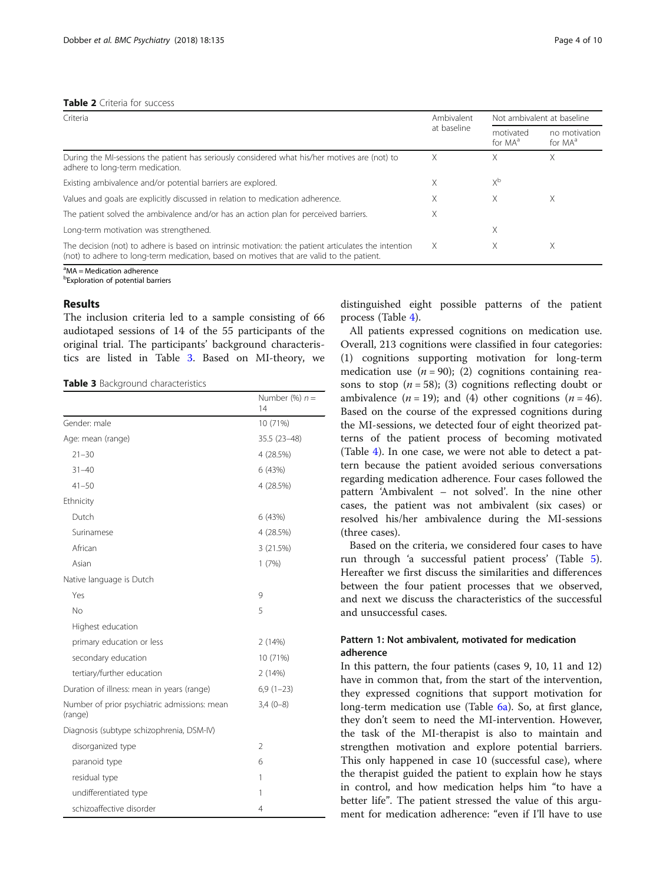#### <span id="page-4-0"></span>Table 2 Criteria for success

| Criteria                                                                                                                                                                                         |   | Not ambivalent at baseline       |                                      |
|--------------------------------------------------------------------------------------------------------------------------------------------------------------------------------------------------|---|----------------------------------|--------------------------------------|
|                                                                                                                                                                                                  |   | motivated<br>for MA <sup>a</sup> | no motivation<br>for MA <sup>a</sup> |
| During the MI-sessions the patient has seriously considered what his/her motives are (not) to<br>adhere to long-term medication.                                                                 | Χ | X                                | Χ                                    |
| Existing ambivalence and/or potential barriers are explored.                                                                                                                                     |   | $X^{\rm b}$                      |                                      |
| Values and goals are explicitly discussed in relation to medication adherence.                                                                                                                   |   | X                                | X                                    |
| The patient solved the ambivalence and/or has an action plan for perceived barriers.                                                                                                             | X |                                  |                                      |
| Long-term motivation was strengthened.                                                                                                                                                           |   | Χ                                |                                      |
| The decision (not) to adhere is based on intrinsic motivation: the patient articulates the intention<br>(not) to adhere to long-term medication, based on motives that are valid to the patient. | X | X                                | X                                    |

<sup>a</sup>MA = Medication adherence **b**Exploration of potential barriers

#### **Results**

The inclusion criteria led to a sample consisting of 66 audiotaped sessions of 14 of the 55 participants of the original trial. The participants' background characteristics are listed in Table 3. Based on MI-theory, we

#### Table 3 Background characteristics

|                                                         | Number $(\%) n =$<br>14  |
|---------------------------------------------------------|--------------------------|
| Gender: male                                            | 10 (71%)                 |
| Age: mean (range)                                       | 35.5 (23-48)             |
| $21 - 30$                                               | 4 (28.5%)                |
| $31 - 40$                                               | 6 (43%)                  |
| $41 - 50$                                               | 4 (28.5%)                |
| Ethnicity                                               |                          |
| Dutch                                                   | 6 (43%)                  |
| Surinamese                                              | 4 (28.5%)                |
| African                                                 | 3 (21.5%)                |
| Asian                                                   | 1(7%)                    |
| Native language is Dutch                                |                          |
| Yes                                                     | 9                        |
| No                                                      | 5                        |
| Highest education                                       |                          |
| primary education or less                               | 2(14%)                   |
| secondary education                                     | 10 (71%)                 |
| tertiary/further education                              | 2(14%)                   |
| Duration of illness: mean in years (range)              | $6,9(1-23)$              |
| Number of prior psychiatric admissions: mean<br>(range) | $3,4(0-8)$               |
| Diagnosis (subtype schizophrenia, DSM-IV)               |                          |
| disorganized type                                       | $\overline{\phantom{a}}$ |
| paranoid type                                           | 6                        |
| residual type                                           | 1                        |
| undifferentiated type                                   | 1                        |
| schizoaffective disorder                                | 4                        |

distinguished eight possible patterns of the patient process (Table [4](#page-5-0)).

All patients expressed cognitions on medication use. Overall, 213 cognitions were classified in four categories: (1) cognitions supporting motivation for long-term medication use  $(n = 90)$ ; (2) cognitions containing reasons to stop  $(n = 58)$ ; (3) cognitions reflecting doubt or ambivalence  $(n = 19)$ ; and (4) other cognitions  $(n = 46)$ . Based on the course of the expressed cognitions during the MI-sessions, we detected four of eight theorized patterns of the patient process of becoming motivated (Table [4](#page-5-0)). In one case, we were not able to detect a pattern because the patient avoided serious conversations regarding medication adherence. Four cases followed the pattern 'Ambivalent – not solved'. In the nine other cases, the patient was not ambivalent (six cases) or resolved his/her ambivalence during the MI-sessions (three cases).

Based on the criteria, we considered four cases to have run through 'a successful patient process' (Table [5](#page-5-0)). Hereafter we first discuss the similarities and differences between the four patient processes that we observed, and next we discuss the characteristics of the successful and unsuccessful cases.

#### Pattern 1: Not ambivalent, motivated for medication adherence

In this pattern, the four patients (cases 9, 10, 11 and 12) have in common that, from the start of the intervention, they expressed cognitions that support motivation for long-term medication use (Table [6a](#page-6-0)). So, at first glance, they don't seem to need the MI-intervention. However, the task of the MI-therapist is also to maintain and strengthen motivation and explore potential barriers. This only happened in case 10 (successful case), where the therapist guided the patient to explain how he stays in control, and how medication helps him "to have a better life". The patient stressed the value of this argument for medication adherence: "even if I'll have to use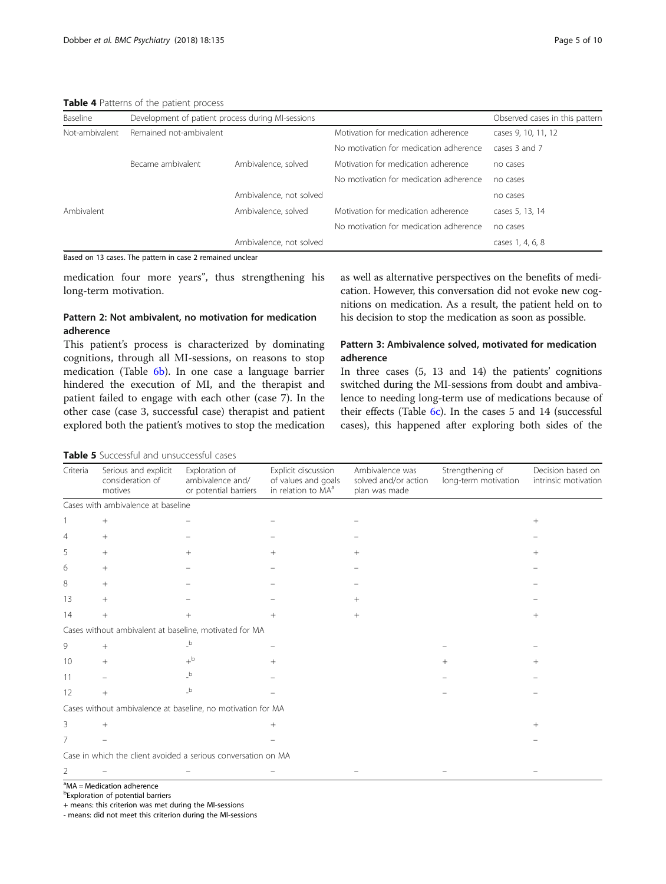<span id="page-5-0"></span>Table 4 Patterns of the patient process

| Baseline       | Development of patient process during MI-sessions |                         |                                        | Observed cases in this pattern |
|----------------|---------------------------------------------------|-------------------------|----------------------------------------|--------------------------------|
| Not-ambivalent | Remained not-ambivalent                           |                         | Motivation for medication adherence    | cases 9, 10, 11, 12            |
|                |                                                   |                         | No motivation for medication adherence | cases 3 and 7                  |
|                | Became ambivalent                                 | Ambivalence, solved     | Motivation for medication adherence    | no cases                       |
|                |                                                   |                         | No motivation for medication adherence | no cases                       |
|                |                                                   | Ambivalence, not solved |                                        | no cases                       |
| Ambivalent     |                                                   | Ambivalence, solved     | Motivation for medication adherence    | cases 5, 13, 14                |
|                |                                                   |                         | No motivation for medication adherence | no cases                       |
|                |                                                   | Ambivalence, not solved |                                        | cases 1, 4, 6, 8               |

Based on 13 cases. The pattern in case 2 remained unclear

Table 5 Successful and unsuccessful cases

medication four more years", thus strengthening his long-term motivation.

#### Pattern 2: Not ambivalent, no motivation for medication adherence

This patient's process is characterized by dominating cognitions, through all MI-sessions, on reasons to stop medication (Table [6b](#page-6-0)). In one case a language barrier hindered the execution of MI, and the therapist and patient failed to engage with each other (case 7). In the other case (case 3, successful case) therapist and patient explored both the patient's motives to stop the medication as well as alternative perspectives on the benefits of medication. However, this conversation did not evoke new cognitions on medication. As a result, the patient held on to his decision to stop the medication as soon as possible.

#### Pattern 3: Ambivalence solved, motivated for medication adherence

In three cases (5, 13 and 14) the patients' cognitions switched during the MI-sessions from doubt and ambivalence to needing long-term use of medications because of their effects (Table  $6c$ ). In the cases 5 and 14 (successful cases), this happened after exploring both sides of the

| Criteria        | Serious and explicit<br>consideration of<br>motives | Exploration of<br>ambivalence and/<br>or potential barriers | Explicit discussion<br>of values and goals<br>in relation to MA <sup>a</sup> | Ambivalence was<br>solved and/or action<br>plan was made | Strengthening of<br>long-term motivation | Decision based on<br>intrinsic motivation |
|-----------------|-----------------------------------------------------|-------------------------------------------------------------|------------------------------------------------------------------------------|----------------------------------------------------------|------------------------------------------|-------------------------------------------|
|                 | Cases with ambivalence at baseline                  |                                                             |                                                                              |                                                          |                                          |                                           |
|                 | $+$                                                 |                                                             |                                                                              |                                                          |                                          | $^{+}$                                    |
| 4               | $^{+}$                                              |                                                             |                                                                              |                                                          |                                          |                                           |
| 5               | $+$                                                 | $^{+}$                                                      |                                                                              | $^{+}$                                                   |                                          | $^{+}$                                    |
| 6               | $+$                                                 |                                                             |                                                                              |                                                          |                                          |                                           |
| 8               | $^{+}$                                              |                                                             |                                                                              |                                                          |                                          |                                           |
| 13              | $^{+}$                                              |                                                             |                                                                              | $+$                                                      |                                          |                                           |
| 14              | $^{+}$                                              | $^{+}$                                                      | $^{+}$                                                                       | $+$                                                      |                                          | $^{+}$                                    |
|                 |                                                     | Cases without ambivalent at baseline, motivated for MA      |                                                                              |                                                          |                                          |                                           |
| 9               | $+$                                                 | $\overline{\phantom{a}}^{\rm b}$                            |                                                                              |                                                          |                                          |                                           |
| 10 <sup>°</sup> | $+$                                                 | $+^{\rm b}$                                                 |                                                                              |                                                          |                                          |                                           |
| 11              |                                                     | $_b$                                                        |                                                                              |                                                          |                                          |                                           |
| 12              | $+$                                                 | $\overline{\phantom{a}}^{\rm b}$                            |                                                                              |                                                          |                                          |                                           |
|                 |                                                     | Cases without ambivalence at baseline, no motivation for MA |                                                                              |                                                          |                                          |                                           |
| 3               | $+$                                                 |                                                             | $^{+}$                                                                       |                                                          |                                          | $^{+}$                                    |
| 7               |                                                     |                                                             |                                                                              |                                                          |                                          |                                           |

Case in which the client avoided a serious conversation on MA

2 –– –– – –

**b**Exploration of potential barriers

+ means: this criterion was met during the MI-sessions

- means: did not meet this criterion during the MI-sessions

<sup>&</sup>lt;sup>a</sup>MA = Medication adherence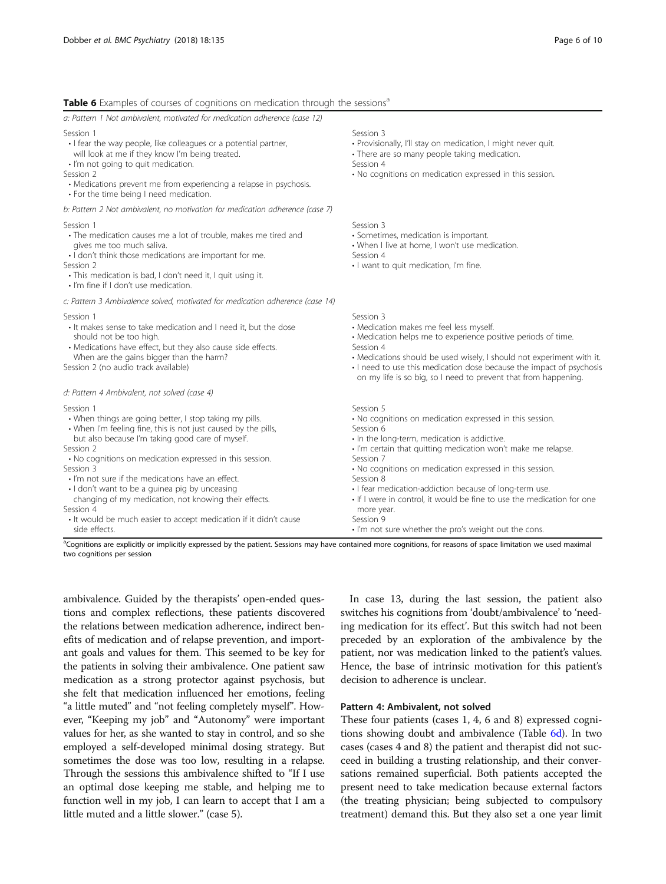#### <span id="page-6-0"></span>Table 6 Examples of courses of cognitions on medication through the sessions<sup>a</sup>

| Session 3<br>· Provisionally, I'll stay on medication, I might never quit.<br>· There are so many people taking medication.<br>Session 4<br>. No cognitions on medication expressed in this session.                                                                                                                                                                                                                                                                                                               |
|--------------------------------------------------------------------------------------------------------------------------------------------------------------------------------------------------------------------------------------------------------------------------------------------------------------------------------------------------------------------------------------------------------------------------------------------------------------------------------------------------------------------|
|                                                                                                                                                                                                                                                                                                                                                                                                                                                                                                                    |
| Session 3<br>· Sometimes, medication is important.<br>• When I live at home, I won't use medication.<br>Session 4<br>· I want to quit medication, I'm fine.                                                                                                                                                                                                                                                                                                                                                        |
|                                                                                                                                                                                                                                                                                                                                                                                                                                                                                                                    |
| Session 3<br>· Medication makes me feel less myself.<br>· Medication helps me to experience positive periods of time.<br>Session 4<br>• Medications should be used wisely, I should not experiment with it.<br>• I need to use this medication dose because the impact of psychosis<br>on my life is so big, so I need to prevent that from happening.                                                                                                                                                             |
|                                                                                                                                                                                                                                                                                                                                                                                                                                                                                                                    |
| Session 5<br>. No cognitions on medication expressed in this session.<br>Session 6<br>· In the long-term, medication is addictive.<br>· I'm certain that quitting medication won't make me relapse.<br>Session 7<br>• No cognitions on medication expressed in this session.<br>Session 8<br>· I fear medication-addiction because of long-term use.<br>. If I were in control, it would be fine to use the medication for one<br>more year.<br>Session 9<br>. I'm not sure whether the pro's weight out the cons. |
|                                                                                                                                                                                                                                                                                                                                                                                                                                                                                                                    |

ambivalence. Guided by the therapists' open-ended questions and complex reflections, these patients discovered the relations between medication adherence, indirect benefits of medication and of relapse prevention, and important goals and values for them. This seemed to be key for the patients in solving their ambivalence. One patient saw medication as a strong protector against psychosis, but she felt that medication influenced her emotions, feeling "a little muted" and "not feeling completely myself". However, "Keeping my job" and "Autonomy" were important values for her, as she wanted to stay in control, and so she employed a self-developed minimal dosing strategy. But sometimes the dose was too low, resulting in a relapse. Through the sessions this ambivalence shifted to "If I use an optimal dose keeping me stable, and helping me to function well in my job, I can learn to accept that I am a little muted and a little slower." (case 5).

In case 13, during the last session, the patient also switches his cognitions from 'doubt/ambivalence' to 'needing medication for its effect'. But this switch had not been preceded by an exploration of the ambivalence by the patient, nor was medication linked to the patient's values. Hence, the base of intrinsic motivation for this patient's decision to adherence is unclear.

#### Pattern 4: Ambivalent, not solved

These four patients (cases 1, 4, 6 and 8) expressed cognitions showing doubt and ambivalence (Table 6d). In two cases (cases 4 and 8) the patient and therapist did not succeed in building a trusting relationship, and their conversations remained superficial. Both patients accepted the present need to take medication because external factors (the treating physician; being subjected to compulsory treatment) demand this. But they also set a one year limit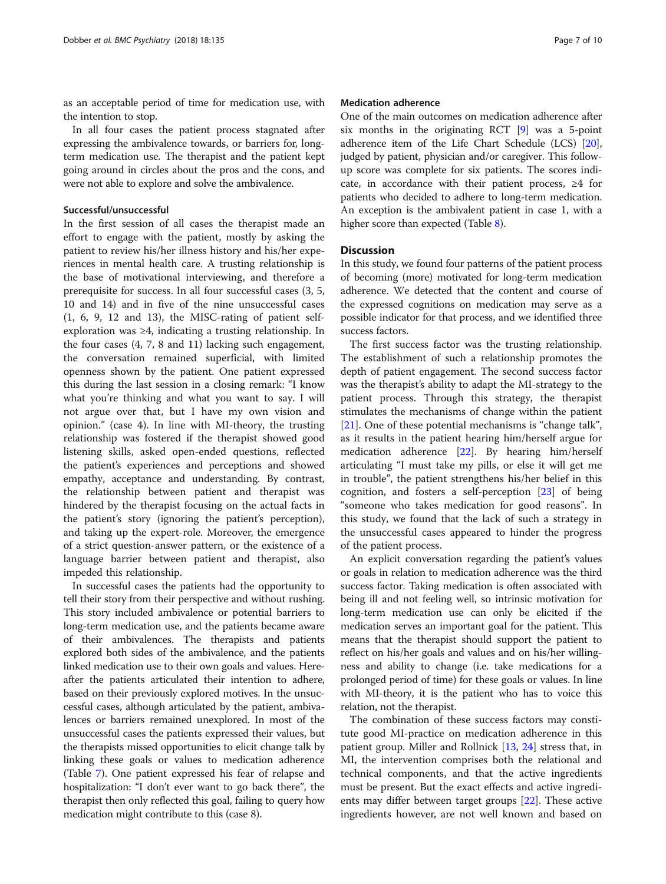as an acceptable period of time for medication use, with the intention to stop.

In all four cases the patient process stagnated after expressing the ambivalence towards, or barriers for, longterm medication use. The therapist and the patient kept going around in circles about the pros and the cons, and were not able to explore and solve the ambivalence.

#### Successful/unsuccessful

In the first session of all cases the therapist made an effort to engage with the patient, mostly by asking the patient to review his/her illness history and his/her experiences in mental health care. A trusting relationship is the base of motivational interviewing, and therefore a prerequisite for success. In all four successful cases (3, 5, 10 and 14) and in five of the nine unsuccessful cases  $(1, 6, 9, 12, 13)$ , the MISC-rating of patient selfexploration was ≥4, indicating a trusting relationship. In the four cases (4, 7, 8 and 11) lacking such engagement, the conversation remained superficial, with limited openness shown by the patient. One patient expressed this during the last session in a closing remark: "I know what you're thinking and what you want to say. I will not argue over that, but I have my own vision and opinion." (case 4). In line with MI-theory, the trusting relationship was fostered if the therapist showed good listening skills, asked open-ended questions, reflected the patient's experiences and perceptions and showed empathy, acceptance and understanding. By contrast, the relationship between patient and therapist was hindered by the therapist focusing on the actual facts in the patient's story (ignoring the patient's perception), and taking up the expert-role. Moreover, the emergence of a strict question-answer pattern, or the existence of a language barrier between patient and therapist, also impeded this relationship.

In successful cases the patients had the opportunity to tell their story from their perspective and without rushing. This story included ambivalence or potential barriers to long-term medication use, and the patients became aware of their ambivalences. The therapists and patients explored both sides of the ambivalence, and the patients linked medication use to their own goals and values. Hereafter the patients articulated their intention to adhere, based on their previously explored motives. In the unsuccessful cases, although articulated by the patient, ambivalences or barriers remained unexplored. In most of the unsuccessful cases the patients expressed their values, but the therapists missed opportunities to elicit change talk by linking these goals or values to medication adherence (Table [7\)](#page-8-0). One patient expressed his fear of relapse and hospitalization: "I don't ever want to go back there", the therapist then only reflected this goal, failing to query how medication might contribute to this (case 8).

#### Medication adherence

One of the main outcomes on medication adherence after six months in the originating RCT [\[9](#page-10-0)] was a 5-point adherence item of the Life Chart Schedule (LCS) [[20](#page-10-0)], judged by patient, physician and/or caregiver. This followup score was complete for six patients. The scores indicate, in accordance with their patient process, ≥4 for patients who decided to adhere to long-term medication. An exception is the ambivalent patient in case 1, with a higher score than expected (Table [8](#page-8-0)).

#### **Discussion**

In this study, we found four patterns of the patient process of becoming (more) motivated for long-term medication adherence. We detected that the content and course of the expressed cognitions on medication may serve as a possible indicator for that process, and we identified three success factors.

The first success factor was the trusting relationship. The establishment of such a relationship promotes the depth of patient engagement. The second success factor was the therapist's ability to adapt the MI-strategy to the patient process. Through this strategy, the therapist stimulates the mechanisms of change within the patient [[21\]](#page-10-0). One of these potential mechanisms is "change talk", as it results in the patient hearing him/herself argue for medication adherence [\[22](#page-10-0)]. By hearing him/herself articulating "I must take my pills, or else it will get me in trouble", the patient strengthens his/her belief in this cognition, and fosters a self-perception [[23\]](#page-10-0) of being "someone who takes medication for good reasons". In this study, we found that the lack of such a strategy in the unsuccessful cases appeared to hinder the progress of the patient process.

An explicit conversation regarding the patient's values or goals in relation to medication adherence was the third success factor. Taking medication is often associated with being ill and not feeling well, so intrinsic motivation for long-term medication use can only be elicited if the medication serves an important goal for the patient. This means that the therapist should support the patient to reflect on his/her goals and values and on his/her willingness and ability to change (i.e. take medications for a prolonged period of time) for these goals or values. In line with MI-theory, it is the patient who has to voice this relation, not the therapist.

The combination of these success factors may constitute good MI-practice on medication adherence in this patient group. Miller and Rollnick [[13,](#page-10-0) [24\]](#page-10-0) stress that, in MI, the intervention comprises both the relational and technical components, and that the active ingredients must be present. But the exact effects and active ingredients may differ between target groups [[22\]](#page-10-0). These active ingredients however, are not well known and based on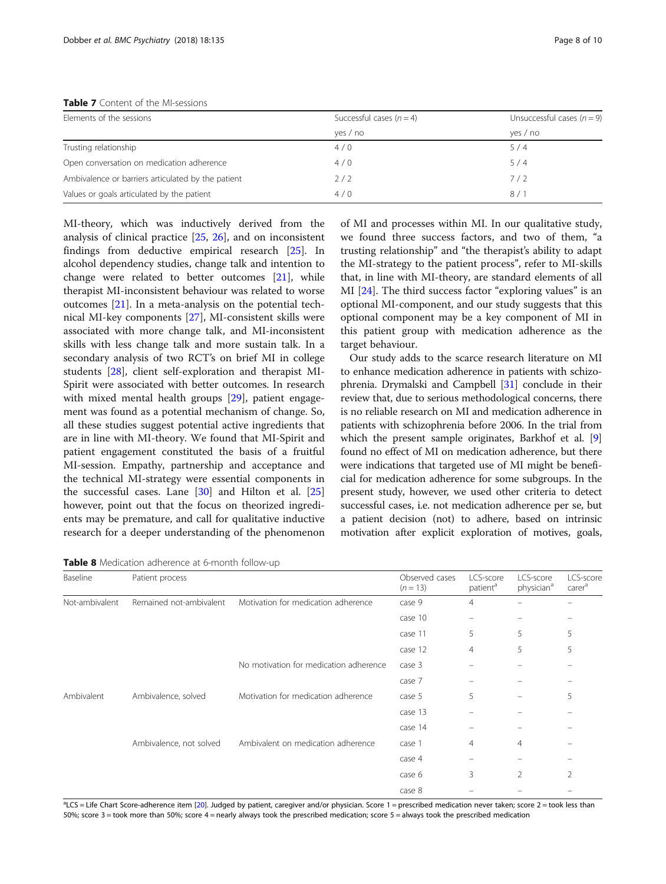<span id="page-8-0"></span>Table 7 Content of the MI-sessions

| Elements of the sessions                           | Successful cases $(n = 4)$ | Unsuccessful cases $(n = 9)$ |  |  |
|----------------------------------------------------|----------------------------|------------------------------|--|--|
|                                                    | yes / no                   | yes / no                     |  |  |
| Trusting relationship                              | 4/0                        | 5/4                          |  |  |
| Open conversation on medication adherence          | 4/0                        | 5/4                          |  |  |
| Ambivalence or barriers articulated by the patient | 2/2                        | 7/2                          |  |  |
| Values or goals articulated by the patient         | 4/0                        | 8/1                          |  |  |

MI-theory, which was inductively derived from the analysis of clinical practice [\[25](#page-10-0), [26\]](#page-10-0), and on inconsistent findings from deductive empirical research [\[25](#page-10-0)]. In alcohol dependency studies, change talk and intention to change were related to better outcomes [\[21\]](#page-10-0), while therapist MI-inconsistent behaviour was related to worse outcomes [[21\]](#page-10-0). In a meta-analysis on the potential technical MI-key components [[27\]](#page-10-0), MI-consistent skills were associated with more change talk, and MI-inconsistent skills with less change talk and more sustain talk. In a secondary analysis of two RCT's on brief MI in college students [[28\]](#page-10-0), client self-exploration and therapist MI-Spirit were associated with better outcomes. In research with mixed mental health groups [\[29](#page-10-0)], patient engagement was found as a potential mechanism of change. So, all these studies suggest potential active ingredients that are in line with MI-theory. We found that MI-Spirit and patient engagement constituted the basis of a fruitful MI-session. Empathy, partnership and acceptance and the technical MI-strategy were essential components in the successful cases. Lane [\[30](#page-10-0)] and Hilton et al. [[25](#page-10-0)] however, point out that the focus on theorized ingredients may be premature, and call for qualitative inductive research for a deeper understanding of the phenomenon

of MI and processes within MI. In our qualitative study, we found three success factors, and two of them, "a trusting relationship" and "the therapist's ability to adapt the MI-strategy to the patient process", refer to MI-skills that, in line with MI-theory, are standard elements of all MI [\[24](#page-10-0)]. The third success factor "exploring values" is an optional MI-component, and our study suggests that this optional component may be a key component of MI in this patient group with medication adherence as the target behaviour.

Our study adds to the scarce research literature on MI to enhance medication adherence in patients with schizophrenia. Drymalski and Campbell [[31](#page-10-0)] conclude in their review that, due to serious methodological concerns, there is no reliable research on MI and medication adherence in patients with schizophrenia before 2006. In the trial from which the present sample originates, Barkhof et al. [[9](#page-10-0)] found no effect of MI on medication adherence, but there were indications that targeted use of MI might be beneficial for medication adherence for some subgroups. In the present study, however, we used other criteria to detect successful cases, i.e. not medication adherence per se, but a patient decision (not) to adhere, based on intrinsic motivation after explicit exploration of motives, goals,

Table 8 Medication adherence at 6-month follow-up

| Baseline       | Patient process         |                                        | Observed cases<br>$(n = 13)$ | LCS-score<br>patient <sup>a</sup> | LCS-score<br>physician <sup>a</sup> | LCS-score<br>carer <sup>a</sup> |
|----------------|-------------------------|----------------------------------------|------------------------------|-----------------------------------|-------------------------------------|---------------------------------|
| Not-ambivalent | Remained not-ambivalent | Motivation for medication adherence    | case 9                       | $\overline{4}$                    |                                     |                                 |
|                |                         |                                        | case 10                      | -                                 |                                     |                                 |
|                |                         |                                        | case 11                      | 5                                 | 5                                   | 5                               |
|                |                         |                                        | case 12                      | 4                                 | 5                                   | 5                               |
|                |                         | No motivation for medication adherence | case 3                       |                                   |                                     |                                 |
|                |                         |                                        | case 7                       | -                                 |                                     |                                 |
| Ambivalent     | Ambivalence, solved     | Motivation for medication adherence    | case 5                       | 5                                 | -                                   | 5                               |
|                |                         |                                        | case 13                      |                                   |                                     |                                 |
|                |                         |                                        | case 14                      |                                   |                                     |                                 |
|                | Ambivalence, not solved | Ambivalent on medication adherence     | case 1                       | 4                                 | $\overline{4}$                      |                                 |
|                |                         |                                        | case 4                       |                                   |                                     |                                 |
|                |                         |                                        | case 6                       | 3                                 | 2                                   | 2                               |
|                |                         |                                        | case 8                       |                                   |                                     |                                 |

<sup>a</sup>LCS = Life Chart Score-adherence item [[20](#page-10-0)]. Judged by patient, caregiver and/or physician. Score 1 = prescribed medication never taken; score 2 = took less than 50%; score 3 = took more than 50%; score 4 = nearly always took the prescribed medication; score 5 = always took the prescribed medication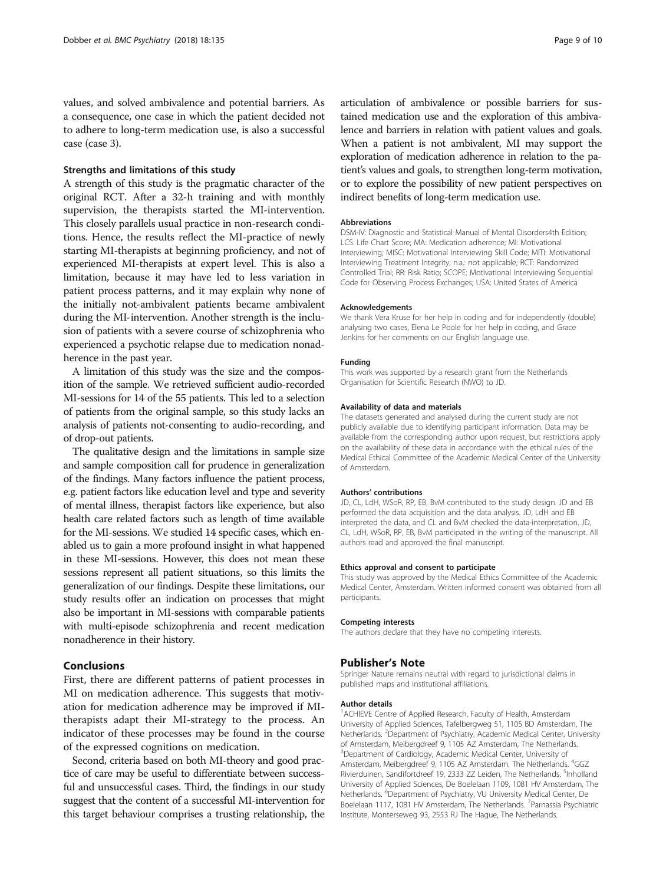values, and solved ambivalence and potential barriers. As a consequence, one case in which the patient decided not to adhere to long-term medication use, is also a successful case (case 3).

#### Strengths and limitations of this study

A strength of this study is the pragmatic character of the original RCT. After a 32-h training and with monthly supervision, the therapists started the MI-intervention. This closely parallels usual practice in non-research conditions. Hence, the results reflect the MI-practice of newly starting MI-therapists at beginning proficiency, and not of experienced MI-therapists at expert level. This is also a limitation, because it may have led to less variation in patient process patterns, and it may explain why none of the initially not-ambivalent patients became ambivalent during the MI-intervention. Another strength is the inclusion of patients with a severe course of schizophrenia who experienced a psychotic relapse due to medication nonadherence in the past year.

A limitation of this study was the size and the composition of the sample. We retrieved sufficient audio-recorded MI-sessions for 14 of the 55 patients. This led to a selection of patients from the original sample, so this study lacks an analysis of patients not-consenting to audio-recording, and of drop-out patients.

The qualitative design and the limitations in sample size and sample composition call for prudence in generalization of the findings. Many factors influence the patient process, e.g. patient factors like education level and type and severity of mental illness, therapist factors like experience, but also health care related factors such as length of time available for the MI-sessions. We studied 14 specific cases, which enabled us to gain a more profound insight in what happened in these MI-sessions. However, this does not mean these sessions represent all patient situations, so this limits the generalization of our findings. Despite these limitations, our study results offer an indication on processes that might also be important in MI-sessions with comparable patients with multi-episode schizophrenia and recent medication nonadherence in their history.

#### Conclusions

First, there are different patterns of patient processes in MI on medication adherence. This suggests that motivation for medication adherence may be improved if MItherapists adapt their MI-strategy to the process. An indicator of these processes may be found in the course of the expressed cognitions on medication.

Second, criteria based on both MI-theory and good practice of care may be useful to differentiate between successful and unsuccessful cases. Third, the findings in our study suggest that the content of a successful MI-intervention for this target behaviour comprises a trusting relationship, the

articulation of ambivalence or possible barriers for sustained medication use and the exploration of this ambivalence and barriers in relation with patient values and goals. When a patient is not ambivalent, MI may support the exploration of medication adherence in relation to the patient's values and goals, to strengthen long-term motivation, or to explore the possibility of new patient perspectives on indirect benefits of long-term medication use.

#### Abbreviations

DSM-IV: Diagnostic and Statistical Manual of Mental Disorders4th Edition; LCS: Life Chart Score; MA: Medication adherence; MI: Motivational Interviewing; MISC: Motivational Interviewing Skill Code; MITI: Motivational Interviewing Treatment Integrity; n.a.: not applicable; RCT: Randomized Controlled Trial; RR: Risk Ratio; SCOPE: Motivational Interviewing Sequential Code for Observing Process Exchanges; USA: United States of America

#### Acknowledgements

We thank Vera Kruse for her help in coding and for independently (double) analysing two cases, Elena Le Poole for her help in coding, and Grace Jenkins for her comments on our English language use.

#### Funding

This work was supported by a research grant from the Netherlands Organisation for Scientific Research (NWO) to JD.

#### Availability of data and materials

The datasets generated and analysed during the current study are not publicly available due to identifying participant information. Data may be available from the corresponding author upon request, but restrictions apply on the availability of these data in accordance with the ethical rules of the Medical Ethical Committee of the Academic Medical Center of the University of Amsterdam.

#### Authors' contributions

JD, CL, LdH, WSoR, RP, EB, BvM contributed to the study design. JD and EB performed the data acquisition and the data analysis. JD, LdH and EB interpreted the data, and CL and BvM checked the data-interpretation. JD, CL, LdH, WSoR, RP, EB, BvM participated in the writing of the manuscript. All authors read and approved the final manuscript.

#### Ethics approval and consent to participate

This study was approved by the Medical Ethics Committee of the Academic Medical Center, Amsterdam. Written informed consent was obtained from all participants.

#### Competing interests

The authors declare that they have no competing interests.

#### Publisher's Note

Springer Nature remains neutral with regard to jurisdictional claims in published maps and institutional affiliations.

#### Author details

<sup>1</sup> ACHIEVE Centre of Applied Research, Faculty of Health, Amsterdam University of Applied Sciences, Tafelbergweg 51, 1105 BD Amsterdam, The Netherlands. <sup>2</sup>Department of Psychiatry, Academic Medical Center, University of Amsterdam, Meibergdreef 9, 1105 AZ Amsterdam, The Netherlands. 3 Department of Cardiology, Academic Medical Center, University of Amsterdam, Meibergdreef 9, 1105 AZ Amsterdam, The Netherlands. <sup>4</sup>GGZ Rivierduinen, Sandifortdreef 19, 2333 ZZ Leiden, The Netherlands. <sup>5</sup>Inholland University of Applied Sciences, De Boelelaan 1109, 1081 HV Amsterdam, The Netherlands. <sup>6</sup>Department of Psychiatry, VU University Medical Center, De Boelelaan 1117, 1081 HV Amsterdam, The Netherlands. <sup>7</sup>Parnassia Psychiatric Institute, Monterseweg 93, 2553 RJ The Hague, The Netherlands.